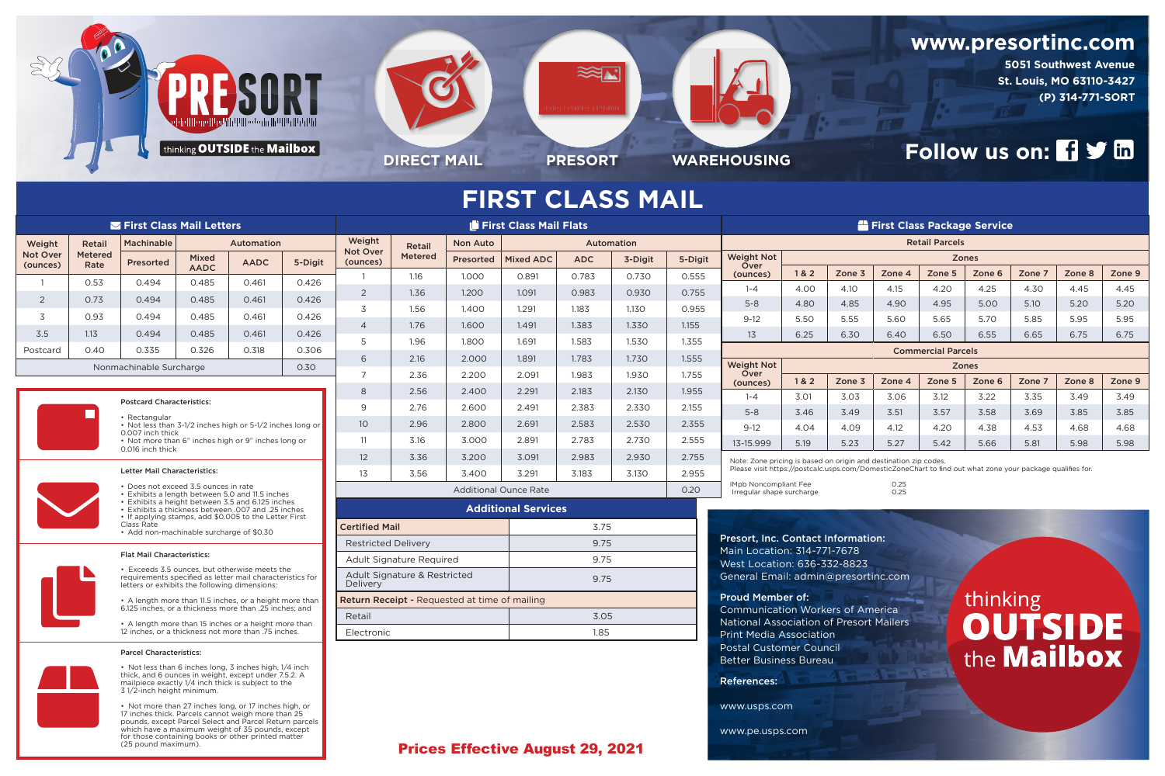

which have a maximum weight of 35 pounds, except for those containing books or other printed matter

(25 pound maximum).

 $\frac{1}{2}$ 



**5051 Southwest Avenue St. Louis, MO 63110-3427 (P) 314-771-SORT**

# **Follow us on: 19 July 10**

|                                                                                                                                                                                                                                                                                                                                                                                                                                                                                                                             |                        | <b>Second First Class Mail Letters</b>                                                                                                                                |                                  |             |                                      | First Class Mail Flats                               |                          |                  |                  |              |         |                                                                  |                                                                                                            | First Class Package Service                                                                        |                                           |                |        |                |        |        |        |  |  |  |
|-----------------------------------------------------------------------------------------------------------------------------------------------------------------------------------------------------------------------------------------------------------------------------------------------------------------------------------------------------------------------------------------------------------------------------------------------------------------------------------------------------------------------------|------------------------|-----------------------------------------------------------------------------------------------------------------------------------------------------------------------|----------------------------------|-------------|--------------------------------------|------------------------------------------------------|--------------------------|------------------|------------------|--------------|---------|------------------------------------------------------------------|------------------------------------------------------------------------------------------------------------|----------------------------------------------------------------------------------------------------|-------------------------------------------|----------------|--------|----------------|--------|--------|--------|--|--|--|
| Weight                                                                                                                                                                                                                                                                                                                                                                                                                                                                                                                      | Retail                 | Machinable                                                                                                                                                            | Automation                       |             |                                      | Weight                                               | Retail                   | Non Auto         | Automation       |              |         |                                                                  | <b>Retail Parcels</b>                                                                                      |                                                                                                    |                                           |                |        |                |        |        |        |  |  |  |
| <b>Not Over</b><br>(ounces)                                                                                                                                                                                                                                                                                                                                                                                                                                                                                                 | <b>Metered</b><br>Rate | Presorted                                                                                                                                                             | <b>Mixed</b>                     | <b>AADC</b> | 5-Digit                              | <b>Not Over</b><br>(ounces)                          | <b>Metered</b>           | <b>Presorted</b> | <b>Mixed ADC</b> | <b>ADC</b>   | 3-Digit | 5-Digit                                                          | <b>Weight Not</b><br>Over                                                                                  | <b>Zones</b>                                                                                       |                                           |                |        |                |        |        |        |  |  |  |
|                                                                                                                                                                                                                                                                                                                                                                                                                                                                                                                             | 0.53                   | 0.494                                                                                                                                                                 | <b>AADC</b><br>0.485             | 0.461       | 0.426                                |                                                      | 1.16                     | 1.000            | 0.891            | 0.783        | 0.730   | 0.555                                                            | (ounces)                                                                                                   | 1&8&2                                                                                              | Zone 3                                    | Zone 4         | Zone 5 | Zone 6         | Zone 7 | Zone 8 | Zone 9 |  |  |  |
|                                                                                                                                                                                                                                                                                                                                                                                                                                                                                                                             | 0.73                   | 0.494                                                                                                                                                                 | 0.485                            | 0.461       | 0.426                                | 2                                                    | 1.36                     | 1.200            | 1.091            | 0.983        | 0.930   | 0.755                                                            | $1 - 4$                                                                                                    | 4.00                                                                                               | 4.10                                      | 4.15           | 4.20   | 4.25           | 4.30   | 4.45   | 4.45   |  |  |  |
| 2                                                                                                                                                                                                                                                                                                                                                                                                                                                                                                                           |                        |                                                                                                                                                                       |                                  |             |                                      |                                                      | 1.56                     | 1.400            | 1.291            | 1.183        | 1.130   | 0.955                                                            | $5 - 8$                                                                                                    | 4.80                                                                                               | 4.85                                      | 4.90           | 4.95   | 5.00           | 5.10   | 5.20   | 5.20   |  |  |  |
| 3                                                                                                                                                                                                                                                                                                                                                                                                                                                                                                                           | 0.93                   | 0.494                                                                                                                                                                 | 0.485                            | 0.461       | 0.426                                | $\overline{4}$                                       | 1.76                     | 1.600            | 1.491            | 1.383        | 1.330   | 1.155                                                            | $9-12$                                                                                                     | 5.50                                                                                               | 5.55                                      | 5.60           | 5.65   | 5.70           | 5.85   | 5.95   | 5.95   |  |  |  |
| 3.5                                                                                                                                                                                                                                                                                                                                                                                                                                                                                                                         | 1.13                   |                                                                                                                                                                       | 0.485<br>0.461<br>0.494<br>0.326 |             | 0.426                                |                                                      | 1.96                     | 1.800            | 1.691            | 1.583        | 1.530   | 1.355                                                            | 13<br>6.25                                                                                                 |                                                                                                    | 6.30                                      | 6.40           | 6.50   | 6.55           | 6.65   | 6.75   | 6.75   |  |  |  |
| Postcard                                                                                                                                                                                                                                                                                                                                                                                                                                                                                                                    | 0.40                   | 0.335<br>0.318<br>0.306<br>Nonmachinable Surcharge                                                                                                                    |                                  |             | 2.16<br>2.000<br>6                   |                                                      |                          | 1.891            | 1.783            | 1.730        | 1.555   | <b>Commercial Parcels</b>                                        |                                                                                                            |                                                                                                    |                                           |                |        |                |        |        |        |  |  |  |
|                                                                                                                                                                                                                                                                                                                                                                                                                                                                                                                             |                        |                                                                                                                                                                       |                                  |             | 0.30                                 |                                                      | 2.36                     | 2.200            | 2.091            | 1.983        | 1.930   | 1.755                                                            | <b>Weight Not</b><br>Over                                                                                  | 1& 2                                                                                               | Zone 3                                    |                | Zone 5 | <b>Zones</b>   | Zone 7 | Zone 8 | Zone 9 |  |  |  |
|                                                                                                                                                                                                                                                                                                                                                                                                                                                                                                                             |                        |                                                                                                                                                                       |                                  |             |                                      | 8                                                    | 2.56                     | 2.400            | 2.291            | 2.183        | 2.130   | 1.955                                                            | (ounces)<br>$1 - 4$                                                                                        | 3.01                                                                                               | 3.03                                      | Zone 4<br>3.06 | 3.12   | Zone 6<br>3.22 | 3.35   | 3.49   | 3.49   |  |  |  |
| <b>Postcard Characteristics:</b>                                                                                                                                                                                                                                                                                                                                                                                                                                                                                            |                        |                                                                                                                                                                       |                                  |             |                                      | $\mathsf{Q}$                                         | 2.76                     | 2.600            | 2.491            | 2.383        | 2.330   | 2.155                                                            | $5 - 8$                                                                                                    | 3.46                                                                                               | 3.49                                      | 3.51           | 3.57   | 3.58           | 3.69   | 3.85   | 3.85   |  |  |  |
|                                                                                                                                                                                                                                                                                                                                                                                                                                                                                                                             |                        | • Rectangular<br>• Not less than 3-1/2 inches high or 5-1/2 inches long or                                                                                            |                                  |             |                                      | 10 <sup>°</sup>                                      | 2.96                     | 2.800            | 2.691            | 2.583        | 2.530   | 2.355                                                            | $9-12$                                                                                                     | 4.04                                                                                               | 4.09                                      | 4.12           | 4.20   | 4.38           | 4.53   | 4.68   | 4.68   |  |  |  |
|                                                                                                                                                                                                                                                                                                                                                                                                                                                                                                                             |                        | 0.007 inch thick<br>• Not more than 6" inches high or 9" inches long or                                                                                               |                                  |             |                                      | 11                                                   | 3.16                     | 3.000            | 2.891            | 2.783        | 2.730   | 2.555                                                            | 13-15.999                                                                                                  | 5.19                                                                                               | 5.23                                      | 5.27           | 5.42   | 5.66           | 5.81   | 5.98   | 5.98   |  |  |  |
| 0.016 inch thick                                                                                                                                                                                                                                                                                                                                                                                                                                                                                                            |                        |                                                                                                                                                                       |                                  |             | 12 <sup>2</sup>                      | 3.36                                                 | 3.200                    | 3.091            | 2.983            | 2.930        | 2.755   | Note: Zone pricing is based on origin and destination zip codes. |                                                                                                            |                                                                                                    |                                           |                |        |                |        |        |        |  |  |  |
| <b>Letter Mail Characteristics:</b>                                                                                                                                                                                                                                                                                                                                                                                                                                                                                         |                        |                                                                                                                                                                       |                                  |             |                                      | 13                                                   | 3.56                     | 3.400            | 3.291            | 3.183        | 3.130   | 2.955                                                            | Please visit https://postcalc.usps.com/DomesticZoneChart to find out what zone your package qualifies for. |                                                                                                    |                                           |                |        |                |        |        |        |  |  |  |
| • Does not exceed 3.5 ounces in rate<br>• Exhibits a length between 5.0 and 11.5 inches                                                                                                                                                                                                                                                                                                                                                                                                                                     |                        |                                                                                                                                                                       |                                  |             | <b>Additional Ounce Rate</b><br>0.20 |                                                      |                          |                  |                  |              |         |                                                                  | 0.25<br>IMpb Noncompliant Fee<br>0.25<br>Irregular shape surcharge                                         |                                                                                                    |                                           |                |        |                |        |        |        |  |  |  |
|                                                                                                                                                                                                                                                                                                                                                                                                                                                                                                                             |                        | • Exhibits a height between 3.5 and 6.125 inches<br>• Exhibits a thickness between .007 and .25 inches                                                                |                                  |             |                                      | <b>Additional Services</b>                           |                          |                  |                  |              |         |                                                                  |                                                                                                            |                                                                                                    |                                           |                |        |                |        |        |        |  |  |  |
|                                                                                                                                                                                                                                                                                                                                                                                                                                                                                                                             |                        | • If applying stamps, add \$0.005 to the Letter First<br>Class Rate                                                                                                   |                                  |             |                                      | <b>Certified Mail</b>                                |                          |                  |                  | 3.75         |         |                                                                  |                                                                                                            |                                                                                                    |                                           |                |        |                |        |        |        |  |  |  |
|                                                                                                                                                                                                                                                                                                                                                                                                                                                                                                                             |                        | • Add non-machinable surcharge of \$0.30                                                                                                                              |                                  |             |                                      | <b>Restricted Delivery</b>                           |                          |                  |                  | 9.75         |         |                                                                  |                                                                                                            |                                                                                                    | <b>Presort, Inc. Contact Information:</b> |                |        |                |        |        |        |  |  |  |
|                                                                                                                                                                                                                                                                                                                                                                                                                                                                                                                             |                        | <b>Flat Mail Characteristics:</b>                                                                                                                                     |                                  |             |                                      |                                                      | Adult Signature Required |                  |                  | 9.75         |         |                                                                  | Main Location: 314-771-7678<br>West Location: 636-332-8823<br>General Email: admin@presortinc.com          |                                                                                                    |                                           |                |        |                |        |        |        |  |  |  |
|                                                                                                                                                                                                                                                                                                                                                                                                                                                                                                                             |                        |                                                                                                                                                                       |                                  |             |                                      | <b>Delivery</b>                                      |                          |                  |                  | 9.75         |         |                                                                  |                                                                                                            |                                                                                                    |                                           |                |        |                |        |        |        |  |  |  |
|                                                                                                                                                                                                                                                                                                                                                                                                                                                                                                                             |                        |                                                                                                                                                                       |                                  |             |                                      | <b>Return Receipt - Requested at time of mailing</b> |                          |                  |                  |              |         |                                                                  | <b>thinking</b><br><b>Proud Member of:</b><br><b><i>Dressburger</i></b>                                    |                                                                                                    |                                           |                |        |                |        |        |        |  |  |  |
|                                                                                                                                                                                                                                                                                                                                                                                                                                                                                                                             |                        |                                                                                                                                                                       |                                  |             |                                      | Retail                                               |                          |                  |                  | 3.05         |         |                                                                  | <b>Communication Workers of America</b>                                                                    |                                                                                                    |                                           |                |        |                |        |        |        |  |  |  |
|                                                                                                                                                                                                                                                                                                                                                                                                                                                                                                                             |                        |                                                                                                                                                                       |                                  |             |                                      | Electronic                                           |                          |                  |                  | 1.85         |         |                                                                  |                                                                                                            | <b>National Association of Presort Mailers</b><br><b>OUTS DE</b><br><b>Print Media Association</b> |                                           |                |        |                |        |        |        |  |  |  |
| • Exceeds 3.5 ounces, but otherwise meets the<br>Adult Signature & Restricted<br>requirements specified as letter mail characteristics for<br>letters or exhibits the following dimensions:<br>• A length more than 11.5 inches, or a height more than<br>6.125 inches, or a thickness more than .25 inches; and<br>• A length more than 15 inches or a height more than<br>12 inches, or a thickness not more than .75 inches.<br><b>Parcel Characteristics:</b><br>• Not less than 6 inches long, 3 inches high, 1/4 inch |                        |                                                                                                                                                                       |                                  |             |                                      |                                                      |                          |                  |                  |              |         | <b>Postal Customer Council</b>                                   |                                                                                                            |                                                                                                    |                                           |                |        |                |        |        |        |  |  |  |
| thick, and 6 ounces in weight, except under 7.5.2. A<br>mailpiece exactly 1/4 inch thick is subject to the<br>3 1/2-inch height minimum.                                                                                                                                                                                                                                                                                                                                                                                    |                        |                                                                                                                                                                       |                                  |             |                                      |                                                      |                          |                  |                  |              |         |                                                                  |                                                                                                            | the <b>Mailbox</b><br><b>Better Business Bureau</b><br><b>References:</b>                          |                                           |                |        |                |        |        |        |  |  |  |
|                                                                                                                                                                                                                                                                                                                                                                                                                                                                                                                             |                        | • Not more than 27 inches long, or 17 inches high, or<br>17 inches thick. Parcels cannot weigh more than 25<br>pounds, except Parcel Select and Parcel Return parcels |                                  |             |                                      |                                                      |                          |                  |                  | www.usps.com |         |                                                                  |                                                                                                            |                                                                                                    |                                           |                |        |                |        |        |        |  |  |  |

www.pe.usps.com

### Prices Effective August 29, 2021

# **FIRST CLASS MAIL**

## **www.presortinc.com Presort Inc.**

**DIRECT MAIL PRESORT WAREHOUSING**